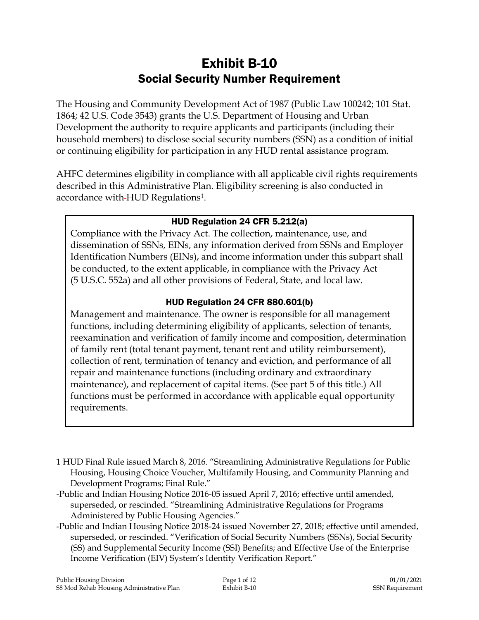# Exhibit B-10 Social Security Number Requirement

The Housing and Community Development Act of 1987 (Public Law 100242; 101 Stat. 1864; 42 U.S. Code 3543) grants the U.S. Department of Housing and Urban Development the authority to require applicants and participants (including their household members) to disclose social security numbers (SSN) as a condition of initial or continuing eligibility for participation in any HUD rental assistance program.

AHFC determines eligibility in compliance with all applicable civil rights requirements described in this Administrative Plan. Eligibility screening is also conducted in accordance with HUD Regulations1.

### HUD Regulation 24 CFR 5.212(a)

Compliance with the Privacy Act. The collection, maintenance, use, and dissemination of SSNs, EINs, any information derived from SSNs and Employer Identification Numbers (EINs), and income information under this subpart shall be conducted, to the extent applicable, in compliance with the Privacy Act (5 U.S.C. 552a) and all other provisions of Federal, State, and local law.

## HUD Regulation 24 CFR 880.601(b)

Management and maintenance. The owner is responsible for all management functions, including determining eligibility of applicants, selection of tenants, reexamination and verification of family income and composition, determination of family rent (total tenant payment, tenant rent and utility reimbursement), collection of rent, termination of tenancy and eviction, and performance of all repair and maintenance functions (including ordinary and extraordinary maintenance), and replacement of capital items. (See part 5 of this title.) All functions must be performed in accordance with applicable equal opportunity requirements.

-Public and Indian Housing Notice 2018-24 issued November 27, 2018; effective until amended, superseded, or rescinded. "Verification of Social Security Numbers (SSNs), Social Security (SS) and Supplemental Security Income (SSI) Benefits; and Effective Use of the Enterprise Income Verification (EIV) System's Identity Verification Report."

 $\overline{a}$ 

<sup>1</sup> HUD Final Rule issued March 8, 2016. "Streamlining Administrative Regulations for Public Housing, Housing Choice Voucher, Multifamily Housing, and Community Planning and Development Programs; Final Rule."

<sup>-</sup>Public and Indian Housing Notice 2016-05 issued April 7, 2016; effective until amended, superseded, or rescinded. "Streamlining Administrative Regulations for Programs Administered by Public Housing Agencies."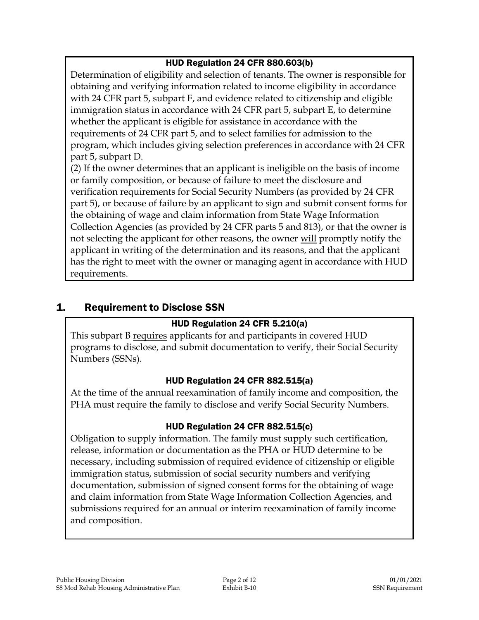## HUD Regulation 24 CFR 880.603(b)

Determination of eligibility and selection of tenants. The owner is responsible for obtaining and verifying information related to income eligibility in accordance with 24 CFR part 5, subpart F, and evidence related to citizenship and eligible immigration status in accordance with 24 CFR part 5, subpart E, to determine whether the applicant is eligible for assistance in accordance with the requirements of 24 CFR part 5, and to select families for admission to the program, which includes giving selection preferences in accordance with 24 CFR part 5, subpart D.

(2) If the owner determines that an applicant is ineligible on the basis of income or family composition, or because of failure to meet the disclosure and verification requirements for Social Security Numbers (as provided by 24 CFR part 5), or because of failure by an applicant to sign and submit consent forms for the obtaining of wage and claim information from State Wage Information Collection Agencies (as provided by 24 CFR parts 5 and 813), or that the owner is not selecting the applicant for other reasons, the owner will promptly notify the applicant in writing of the determination and its reasons, and that the applicant has the right to meet with the owner or managing agent in accordance with HUD requirements.

## 1. Requirement to Disclose SSN

## HUD Regulation 24 CFR 5.210(a)

This subpart B requires applicants for and participants in covered HUD programs to disclose, and submit documentation to verify, their Social Security Numbers (SSNs).

## HUD Regulation 24 CFR 882.515(a)

At the time of the annual reexamination of family income and composition, the PHA must require the family to disclose and verify Social Security Numbers.

## HUD Regulation 24 CFR 882.515(c)

Obligation to supply information. The family must supply such certification, release, information or documentation as the PHA or HUD determine to be necessary, including submission of required evidence of citizenship or eligible immigration status, submission of social security numbers and verifying documentation, submission of signed consent forms for the obtaining of wage and claim information from State Wage Information Collection Agencies, and submissions required for an annual or interim reexamination of family income and composition.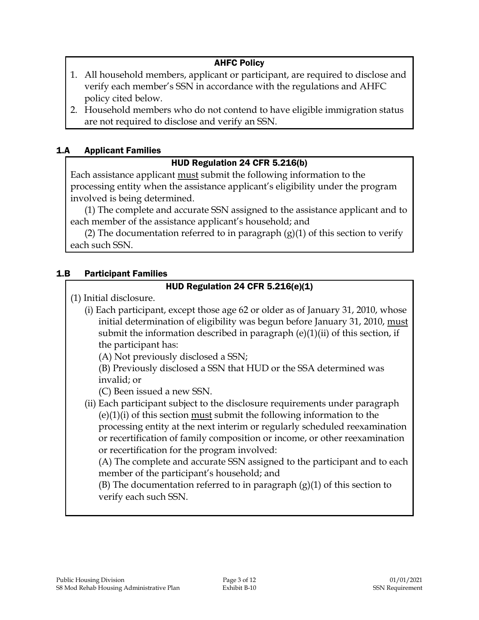### AHFC Policy

- 1. All household members, applicant or participant, are required to disclose and verify each member's SSN in accordance with the regulations and AHFC policy cited below.
- 2. Household members who do not contend to have eligible immigration status are not required to disclose and verify an SSN.

### 1.A Applicant Families

### HUD Regulation 24 CFR 5.216(b)

Each assistance applicant must submit the following information to the processing entity when the assistance applicant's eligibility under the program involved is being determined.

(1) The complete and accurate SSN assigned to the assistance applicant and to each member of the assistance applicant's household; and

(2) The documentation referred to in paragraph  $(g)(1)$  of this section to verify each such SSN.

#### 1.B Participant Families

### HUD Regulation 24 CFR 5.216(e)(1)

(1) Initial disclosure.

(i) Each participant, except those age 62 or older as of January 31, 2010, whose initial determination of eligibility was begun before January 31, 2010, must submit the information described in paragraph  $(e)(1)(ii)$  of this section, if the participant has:

(A) Not previously disclosed a SSN;

(B) Previously disclosed a SSN that HUD or the SSA determined was invalid; or

(C) Been issued a new SSN.

(ii) Each participant subject to the disclosure requirements under paragraph (e)(1)(i) of this section must submit the following information to the processing entity at the next interim or regularly scheduled reexamination or recertification of family composition or income, or other reexamination or recertification for the program involved:

(A) The complete and accurate SSN assigned to the participant and to each member of the participant's household; and

(B) The documentation referred to in paragraph  $(g)(1)$  of this section to verify each such SSN.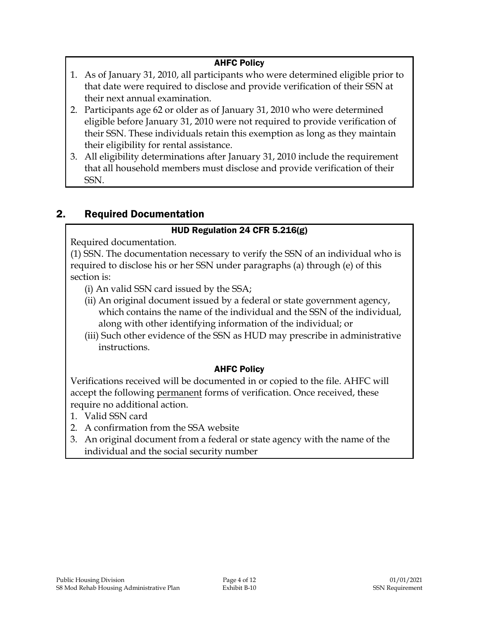### AHFC Policy

- 1. As of January 31, 2010, all participants who were determined eligible prior to that date were required to disclose and provide verification of their SSN at their next annual examination.
- 2. Participants age 62 or older as of January 31, 2010 who were determined eligible before January 31, 2010 were not required to provide verification of their SSN. These individuals retain this exemption as long as they maintain their eligibility for rental assistance.
- 3. All eligibility determinations after January 31, 2010 include the requirement that all household members must disclose and provide verification of their SSN.

## 2. Required Documentation

### HUD Regulation 24 CFR 5.216(g)

Required documentation.

(1) SSN. The documentation necessary to verify the SSN of an individual who is required to disclose his or her SSN under paragraphs (a) through (e) of this section is:

- (i) An valid SSN card issued by the SSA;
- (ii) An original document issued by a federal or state government agency, which contains the name of the individual and the SSN of the individual, along with other identifying information of the individual; or
- (iii) Such other evidence of the SSN as HUD may prescribe in administrative instructions.

### AHFC Policy

Verifications received will be documented in or copied to the file. AHFC will accept the following permanent forms of verification. Once received, these require no additional action.

- 1. Valid SSN card
- 2. A confirmation from the SSA website
- 3. An original document from a federal or state agency with the name of the individual and the social security number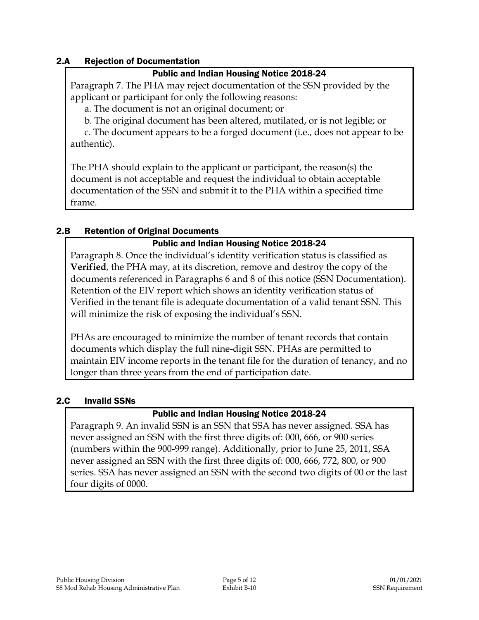### 2.A Rejection of Documentation

#### Public and Indian Housing Notice 2018-24

Paragraph 7. The PHA may reject documentation of the SSN provided by the applicant or participant for only the following reasons:

a. The document is not an original document; or

b. The original document has been altered, mutilated, or is not legible; or

c. The document appears to be a forged document (i.e., does not appear to be authentic).

The PHA should explain to the applicant or participant, the reason(s) the document is not acceptable and request the individual to obtain acceptable documentation of the SSN and submit it to the PHA within a specified time frame.

### 2.B Retention of Original Documents

### Public and Indian Housing Notice 2018-24

Paragraph 8. Once the individual's identity verification status is classified as **Verified**, the PHA may, at its discretion, remove and destroy the copy of the documents referenced in Paragraphs 6 and 8 of this notice (SSN Documentation). Retention of the EIV report which shows an identity verification status of Verified in the tenant file is adequate documentation of a valid tenant SSN. This will minimize the risk of exposing the individual's SSN.

PHAs are encouraged to minimize the number of tenant records that contain documents which display the full nine-digit SSN. PHAs are permitted to maintain EIV income reports in the tenant file for the duration of tenancy, and no longer than three years from the end of participation date.

#### 2.C Invalid SSNs

### Public and Indian Housing Notice 2018-24

Paragraph 9. An invalid SSN is an SSN that SSA has never assigned. SSA has never assigned an SSN with the first three digits of: 000, 666, or 900 series (numbers within the 900-999 range). Additionally, prior to June 25, 2011, SSA never assigned an SSN with the first three digits of: 000, 666, 772, 800, or 900 series. SSA has never assigned an SSN with the second two digits of 00 or the last four digits of 0000.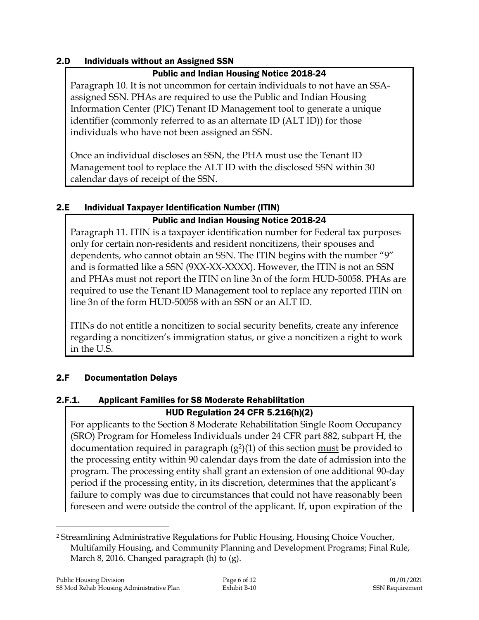### 2.D Individuals without an Assigned SSN

### Public and Indian Housing Notice 2018-24

Paragraph 10. It is not uncommon for certain individuals to not have an SSAassigned SSN. PHAs are required to use the Public and Indian Housing Information Center (PIC) Tenant ID Management tool to generate a unique identifier (commonly referred to as an alternate ID (ALT ID)) for those individuals who have not been assigned an SSN.

Once an individual discloses an SSN, the PHA must use the Tenant ID Management tool to replace the ALT ID with the disclosed SSN within 30 calendar days of receipt of the SSN.

## 2.E Individual Taxpayer Identification Number (ITIN)

## Public and Indian Housing Notice 2018-24

Paragraph 11. ITIN is a taxpayer identification number for Federal tax purposes only for certain non-residents and resident noncitizens, their spouses and dependents, who cannot obtain an SSN. The ITIN begins with the number "9" and is formatted like a SSN (9XX-XX-XXXX). However, the ITIN is not an SSN and PHAs must not report the ITIN on line 3n of the form HUD-50058. PHAs are required to use the Tenant ID Management tool to replace any reported ITIN on line 3n of the form HUD-50058 with an SSN or an ALT ID.

ITINs do not entitle a noncitizen to social security benefits, create any inference regarding a noncitizen's immigration status, or give a noncitizen a right to work in the U.S.

## 2.F Documentation Delays

## 2.F.1. Applicant Families for S8 Moderate Rehabilitation

## HUD Regulation 24 CFR 5.216(h)(2)

For applicants to the Section 8 Moderate Rehabilitation Single Room Occupancy (SRO) Program for Homeless Individuals under 24 CFR part 882, subpart H, the documentation required in paragraph  $(g^2)(1)$  of this section must be provided to the processing entity within 90 calendar days from the date of admission into the program. The processing entity shall grant an extension of one additional 90-day period if the processing entity, in its discretion, determines that the applicant's failure to comply was due to circumstances that could not have reasonably been foreseen and were outside the control of the applicant. If, upon expiration of the

 $\overline{a}$ <sup>2</sup> Streamlining Administrative Regulations for Public Housing, Housing Choice Voucher, Multifamily Housing, and Community Planning and Development Programs; Final Rule, March 8, 2016. Changed paragraph (h) to (g).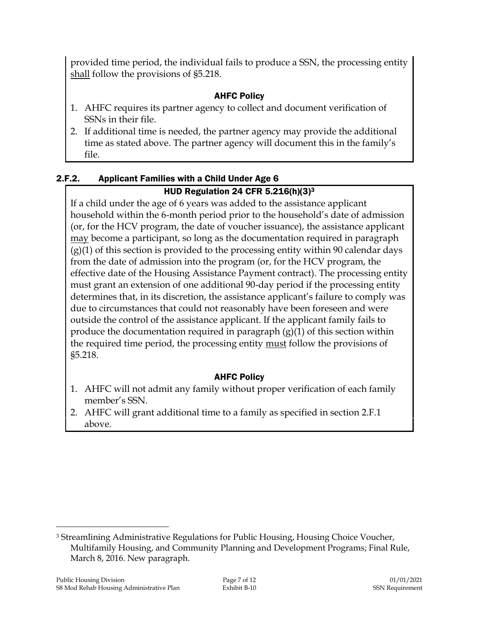provided time period, the individual fails to produce a SSN, the processing entity shall follow the provisions of §5.218.

## AHFC Policy

- 1. AHFC requires its partner agency to collect and document verification of SSNs in their file.
- 2. If additional time is needed, the partner agency may provide the additional time as stated above. The partner agency will document this in the family's file.

### 2.F.2. Applicant Families with a Child Under Age 6 HUD Regulation 24 CFR 5.216(h) $(3)^3$

If a child under the age of 6 years was added to the assistance applicant household within the 6-month period prior to the household's date of admission (or, for the HCV program, the date of voucher issuance), the assistance applicant may become a participant, so long as the documentation required in paragraph (g)(1) of this section is provided to the processing entity within 90 calendar days from the date of admission into the program (or, for the HCV program, the effective date of the Housing Assistance Payment contract). The processing entity must grant an extension of one additional 90-day period if the processing entity determines that, in its discretion, the assistance applicant's failure to comply was due to circumstances that could not reasonably have been foreseen and were outside the control of the assistance applicant. If the applicant family fails to produce the documentation required in paragraph (g)(1) of this section within the required time period, the processing entity must follow the provisions of §5.218.

## AHFC Policy

- 1. AHFC will not admit any family without proper verification of each family member's SSN.
- 2. AHFC will grant additional time to a family as specified in section 2.F.1 above.

 $\overline{a}$ <sup>3</sup> Streamlining Administrative Regulations for Public Housing, Housing Choice Voucher, Multifamily Housing, and Community Planning and Development Programs; Final Rule, March 8, 2016. New paragraph.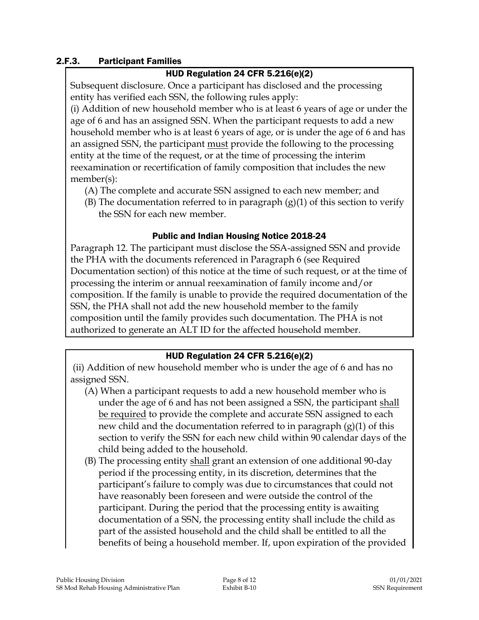### 2.F.3. Participant Families

### HUD Regulation 24 CFR 5.216(e)(2)

Subsequent disclosure. Once a participant has disclosed and the processing entity has verified each SSN, the following rules apply:

(i) Addition of new household member who is at least 6 years of age or under the age of 6 and has an assigned SSN. When the participant requests to add a new household member who is at least 6 years of age, or is under the age of 6 and has an assigned SSN, the participant must provide the following to the processing entity at the time of the request, or at the time of processing the interim reexamination or recertification of family composition that includes the new member(s):

- (A) The complete and accurate SSN assigned to each new member; and
- (B) The documentation referred to in paragraph  $(g)(1)$  of this section to verify the SSN for each new member.

### Public and Indian Housing Notice 2018-24

Paragraph 12. The participant must disclose the SSA-assigned SSN and provide the PHA with the documents referenced in Paragraph 6 (see Required Documentation section) of this notice at the time of such request, or at the time of processing the interim or annual reexamination of family income and/or composition. If the family is unable to provide the required documentation of the SSN, the PHA shall not add the new household member to the family composition until the family provides such documentation. The PHA is not authorized to generate an ALT ID for the affected household member.

#### HUD Regulation 24 CFR 5.216(e)(2)

(ii) Addition of new household member who is under the age of 6 and has no assigned SSN.

- (A) When a participant requests to add a new household member who is under the age of 6 and has not been assigned a SSN, the participant shall be required to provide the complete and accurate SSN assigned to each new child and the documentation referred to in paragraph (g)(1) of this section to verify the SSN for each new child within 90 calendar days of the child being added to the household.
- (B) The processing entity shall grant an extension of one additional 90-day period if the processing entity, in its discretion, determines that the participant's failure to comply was due to circumstances that could not have reasonably been foreseen and were outside the control of the participant. During the period that the processing entity is awaiting documentation of a SSN, the processing entity shall include the child as part of the assisted household and the child shall be entitled to all the benefits of being a household member. If, upon expiration of the provided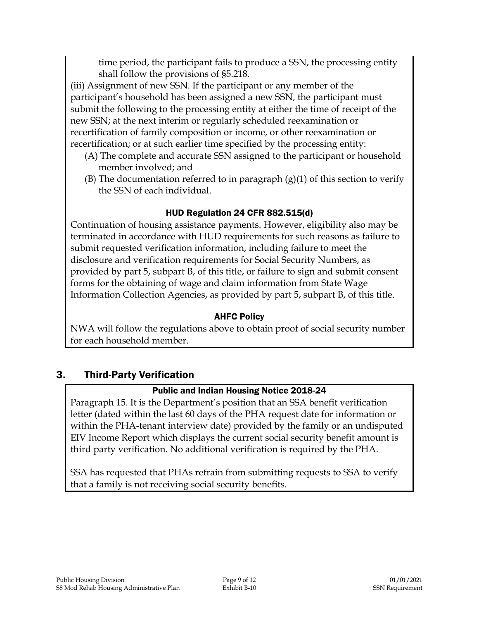time period, the participant fails to produce a SSN, the processing entity shall follow the provisions of §5.218.

(iii) Assignment of new SSN. If the participant or any member of the participant's household has been assigned a new SSN, the participant must submit the following to the processing entity at either the time of receipt of the new SSN; at the next interim or regularly scheduled reexamination or recertification of family composition or income, or other reexamination or recertification; or at such earlier time specified by the processing entity:

- (A) The complete and accurate SSN assigned to the participant or household member involved; and
- (B) The documentation referred to in paragraph  $(g)(1)$  of this section to verify the SSN of each individual.

## HUD Regulation 24 CFR 882.515(d)

Continuation of housing assistance payments. However, eligibility also may be terminated in accordance with HUD requirements for such reasons as failure to submit requested verification information, including failure to meet the disclosure and verification requirements for Social Security Numbers, as provided by part 5, subpart B, of this title, or failure to sign and submit consent forms for the obtaining of wage and claim information from State Wage Information Collection Agencies, as provided by part 5, subpart B, of this title.

## AHFC Policy

NWA will follow the regulations above to obtain proof of social security number for each household member.

## 3. Third-Party Verification

## Public and Indian Housing Notice 2018-24

Paragraph 15. It is the Department's position that an SSA benefit verification letter (dated within the last 60 days of the PHA request date for information or within the PHA-tenant interview date) provided by the family or an undisputed EIV Income Report which displays the current social security benefit amount is third party verification. No additional verification is required by the PHA.

SSA has requested that PHAs refrain from submitting requests to SSA to verify that a family is not receiving social security benefits.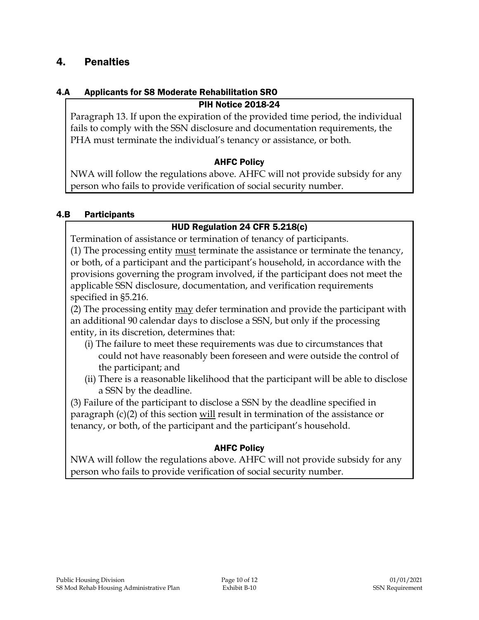## 4. Penalties

#### 4.A Applicants for S8 Moderate Rehabilitation SRO

### PIH Notice 2018-24

Paragraph 13. If upon the expiration of the provided time period, the individual fails to comply with the SSN disclosure and documentation requirements, the PHA must terminate the individual's tenancy or assistance, or both.

### AHFC Policy

NWA will follow the regulations above. AHFC will not provide subsidy for any person who fails to provide verification of social security number.

### 4.B Participants

### HUD Regulation 24 CFR 5.218(c)

Termination of assistance or termination of tenancy of participants.

(1) The processing entity must terminate the assistance or terminate the tenancy, or both, of a participant and the participant's household, in accordance with the provisions governing the program involved, if the participant does not meet the applicable SSN disclosure, documentation, and verification requirements specified in §5.216.

(2) The processing entity  $\underline{may}$  defer termination and provide the participant with an additional 90 calendar days to disclose a SSN, but only if the processing entity, in its discretion, determines that:

- (i) The failure to meet these requirements was due to circumstances that could not have reasonably been foreseen and were outside the control of the participant; and
- (ii) There is a reasonable likelihood that the participant will be able to disclose a SSN by the deadline.

(3) Failure of the participant to disclose a SSN by the deadline specified in paragraph  $(c)(2)$  of this section will result in termination of the assistance or tenancy, or both, of the participant and the participant's household.

### AHFC Policy

NWA will follow the regulations above. AHFC will not provide subsidy for any person who fails to provide verification of social security number.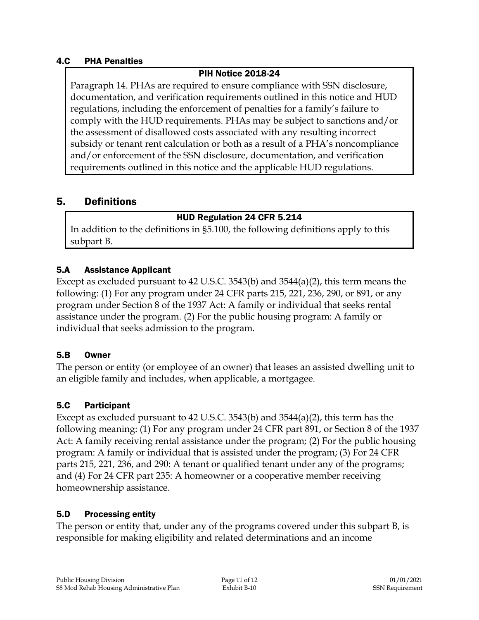### 4.C PHA Penalties

### PIH Notice 2018-24

Paragraph 14. PHAs are required to ensure compliance with SSN disclosure, documentation, and verification requirements outlined in this notice and HUD regulations, including the enforcement of penalties for a family's failure to comply with the HUD requirements. PHAs may be subject to sanctions and/or the assessment of disallowed costs associated with any resulting incorrect subsidy or tenant rent calculation or both as a result of a PHA's noncompliance and/or enforcement of the SSN disclosure, documentation, and verification requirements outlined in this notice and the applicable HUD regulations.

### 5. Definitions

### HUD Regulation 24 CFR 5.214

In addition to the definitions in §5.100, the following definitions apply to this subpart B.

### 5.A Assistance Applicant

Except as excluded pursuant to 42 U.S.C. 3543(b) and 3544(a)(2), this term means the following: (1) For any program under 24 CFR parts 215, 221, 236, 290, or 891, or any program under Section 8 of the 1937 Act: A family or individual that seeks rental assistance under the program. (2) For the public housing program: A family or individual that seeks admission to the program.

#### 5.B Owner

The person or entity (or employee of an owner) that leases an assisted dwelling unit to an eligible family and includes, when applicable, a mortgagee.

### 5.C Participant

Except as excluded pursuant to 42 U.S.C. 3543(b) and 3544(a)(2), this term has the following meaning: (1) For any program under 24 CFR part 891, or Section 8 of the 1937 Act: A family receiving rental assistance under the program; (2) For the public housing program: A family or individual that is assisted under the program; (3) For 24 CFR parts 215, 221, 236, and 290: A tenant or qualified tenant under any of the programs; and (4) For 24 CFR part 235: A homeowner or a cooperative member receiving homeownership assistance.

#### 5.D Processing entity

The person or entity that, under any of the programs covered under this subpart B, is responsible for making eligibility and related determinations and an income